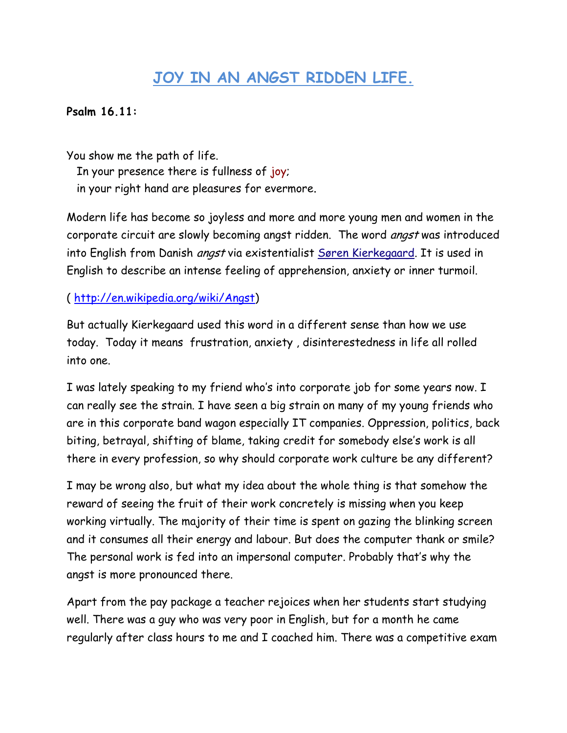## **JOY IN AN ANGST RIDDEN LIFE.**

## **Psalm 16.11:**

You show me the path of life. In your presence there is fullness of joy; in your right hand are pleasures for evermore.

Modern life has become so joyless and more and more young men and women in the corporate circuit are slowly becoming angst ridden. The word *angst* was introduced into English from Danish angst via existentialist [Søren Kierkegaard.](http://en.wikipedia.org/wiki/S%C3%B8ren_Kierkegaard) It is used in English to describe an intense feeling of apprehension, anxiety or inner turmoil.

## ( [http://en.wikipedia.org/wiki/Angst\)](http://en.wikipedia.org/wiki/Angst)

But actually Kierkegaard used this word in a different sense than how we use today. Today it means frustration, anxiety , disinterestedness in life all rolled into one.

I was lately speaking to my friend who's into corporate job for some years now. I can really see the strain. I have seen a big strain on many of my young friends who are in this corporate band wagon especially IT companies. Oppression, politics, back biting, betrayal, shifting of blame, taking credit for somebody else's work is all there in every profession, so why should corporate work culture be any different?

I may be wrong also, but what my idea about the whole thing is that somehow the reward of seeing the fruit of their work concretely is missing when you keep working virtually. The majority of their time is spent on gazing the blinking screen and it consumes all their energy and labour. But does the computer thank or smile? The personal work is fed into an impersonal computer. Probably that's why the angst is more pronounced there.

Apart from the pay package a teacher rejoices when her students start studying well. There was a guy who was very poor in English, but for a month he came regularly after class hours to me and I coached him. There was a competitive exam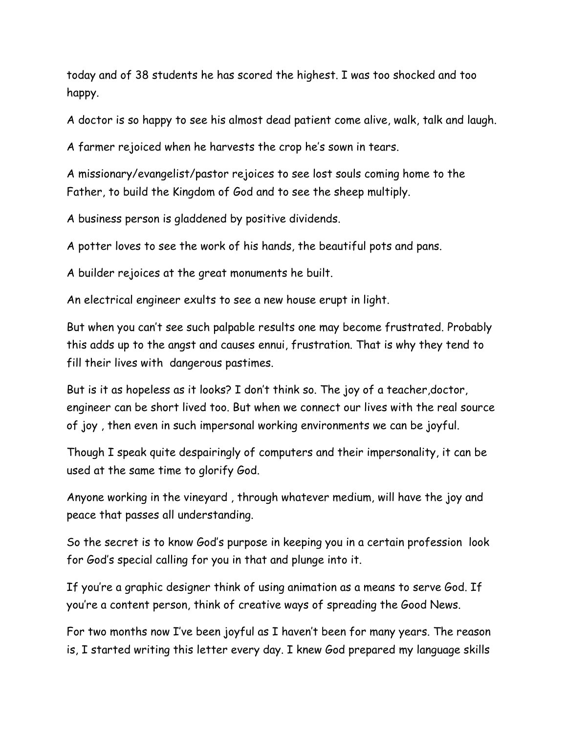today and of 38 students he has scored the highest. I was too shocked and too happy.

A doctor is so happy to see his almost dead patient come alive, walk, talk and laugh.

A farmer rejoiced when he harvests the crop he's sown in tears.

A missionary/evangelist/pastor rejoices to see lost souls coming home to the Father, to build the Kingdom of God and to see the sheep multiply.

A business person is gladdened by positive dividends.

A potter loves to see the work of his hands, the beautiful pots and pans.

A builder rejoices at the great monuments he built.

An electrical engineer exults to see a new house erupt in light.

But when you can't see such palpable results one may become frustrated. Probably this adds up to the angst and causes ennui, frustration. That is why they tend to fill their lives with dangerous pastimes.

But is it as hopeless as it looks? I don't think so. The joy of a teacher,doctor, engineer can be short lived too. But when we connect our lives with the real source of joy , then even in such impersonal working environments we can be joyful.

Though I speak quite despairingly of computers and their impersonality, it can be used at the same time to glorify God.

Anyone working in the vineyard , through whatever medium, will have the joy and peace that passes all understanding.

So the secret is to know God's purpose in keeping you in a certain profession look for God's special calling for you in that and plunge into it.

If you're a graphic designer think of using animation as a means to serve God. If you're a content person, think of creative ways of spreading the Good News.

For two months now I've been joyful as I haven't been for many years. The reason is, I started writing this letter every day. I knew God prepared my language skills